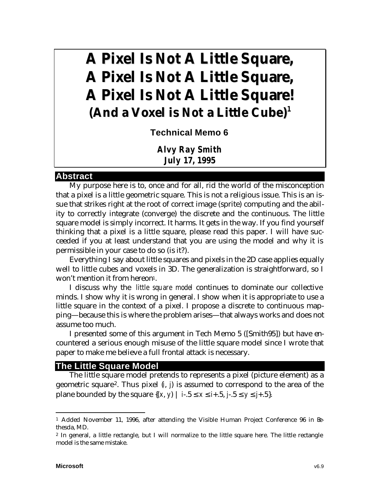# **A Pixel Is** *Not* **A Little Square, A Pixel Is** *Not* **A Little Square, A Pixel Is** *Not* **A Little Square! (And a Voxel is** *Not* **a Little Cube) 1**

**Technical Memo 6**

*Alvy Ray Smith July 17, 1995*

#### **Abstract**

My purpose here is to, once and for all, rid the world of the misconception that a pixel is a little geometric square. This is not a religious issue. This is an issue that strikes right at the root of correct image (sprite) computing and the ability to correctly integrate (converge) the discrete and the continuous. The little square model is simply incorrect. It harms. It gets in the way. If you find yourself thinking that a pixel is a little square, please read this paper. I will have succeeded if you at least understand that you are using the model and why it is permissible in your case to do so (is it?).

Everything I say about little squares and pixels in the 2D case applies equally well to little cubes and voxels in 3D. The generalization is straightforward, so I won't mention it from hereon1.

I discuss why the *little square model* continues to dominate our collective minds. I show why it is wrong in general. I show when it is appropriate to use a little square in the context of a pixel. I propose a discrete to continuous mapping—because this is where the problem arises—that always works and does not assume too much.

I presented some of this argument in Tech Memo 5 ([Smith95]) but have encountered a serious enough misuse of the little square model since I wrote that paper to make me believe a full frontal attack is necessary.

#### **The Little Square Model**

The little square model pretends to represents a pixel (picture element) as a geometric square2. Thus pixel (*i*, *j*) is assumed to correspond to the area of the plane bounded by the square {(*x*, *y*) | *i*-.5 ≤ *x* ≤ *i*+.5, *j*-.5 ≤ *y* ≤ *j*+.5}.

<sup>1</sup> Added November 11, 1996, after attending the Visible Human Project Conference 96 in Bethesda, MD.

<sup>2</sup> In general, a little rectangle, but I will normalize to the little square here. The little rectangle model is the same mistake.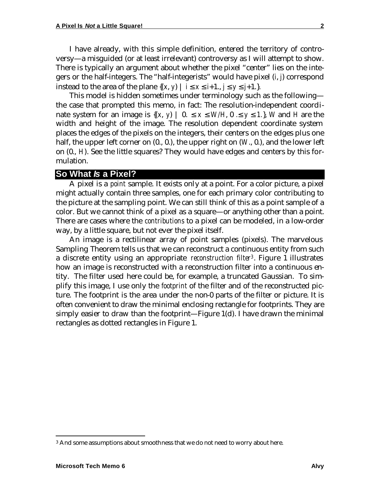I have already, with this simple definition, entered the territory of controversy—a misguided (or at least irrelevant) controversy as I will attempt to show. There is typically an argument about whether the pixel "center" lies on the integers or the half-integers. The "half-integerists" would have pixel (*i*, *j*) correspond instead to the area of the plane  $\{(x, y) \mid i \le x \le i+1, j \le y \le j+1.\}.$ 

This model is hidden sometimes under terminology such as the following the case that prompted this memo, in fact: The resolution-independent coordinate system for an image is  $\{(x, y) | 0. \le x \le W/H, 0. \le y \le 1.\}$ , *W* and *H* are the width and height of the image. The resolution dependent coordinate system places the edges of the pixels on the integers, their centers on the edges plus one half, the upper left corner on  $(0, 0)$ , the upper right on  $(W, 0)$ , and the lower left on (0., *H*). See the little squares? They would have edges and centers by this formulation.

## **So What** *Is* **a Pixel?**

A pixel is a *point* sample. It exists only at a point. For a color picture, a pixel might actually contain three samples, one for each primary color contributing to the picture at the sampling point. We can still think of this as a point sample of a color. But we cannot think of a pixel as a square—or anything other than a point. There are cases where the *contributions* to a pixel can be modeled, in a low-order way, by a little square, but not ever the pixel itself.

An image is a rectilinear array of point samples (pixels). The marvelous Sampling Theorem tells us that we can reconstruct a continuous entity from such a discrete entity using an appropriate *reconstruction filter3*. Figure 1 illustrates how an image is reconstructed with a reconstruction filter into a continuous entity. The filter used here could be, for example, a truncated Gaussian. To simplify this image, I use only the *footprint* of the filter and of the reconstructed picture. The footprint is the area under the non-0 parts of the filter or picture. It is often convenient to draw the minimal enclosing rectangle for footprints. They are simply easier to draw than the footprint—Figure 1(d). I have drawn the minimal rectangles as dotted rectangles in Figure 1.

<sup>&</sup>lt;sup>3</sup> And some assumptions about smoothness that we do not need to worry about here.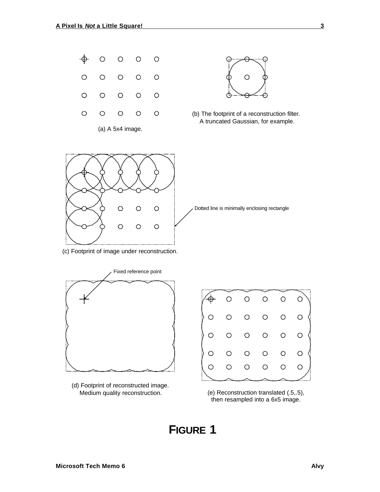

(a) A 5x4 image.



**3**





(c) Footprint of image under reconstruction.



(d) Footprint of reconstructed image. Medium quality reconstruction. (e) Reconstruction translated (.5,.5),



then resampled into a 6x5 image.

# **FIGURE 1**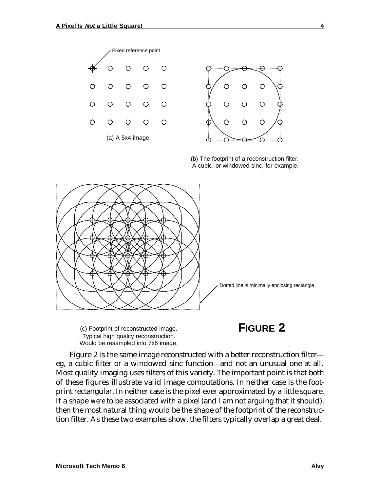

(b) The footprint of a reconstruction filter. A cubic, or windowed sinc, for example.



(c) Footprint of reconstructed image. Typical high quality reconstruction. Would be resampled into 7x6 image.

# **FIGURE 2**

Figure 2 is the same image reconstructed with a better reconstruction filter eg, a cubic filter or a windowed sinc function—and not an unusual one at all. Most quality imaging uses filters of this variety. The important point is that both of these figures illustrate valid image computations. In neither case is the footprint rectangular. In neither case is the pixel ever approximated by a little square. If a shape *were* to be associated with a pixel (and I am not arguing that it should), then the most natural thing would be the shape of the footprint of the reconstruction filter. As these two examples show, the filters typically overlap a great deal.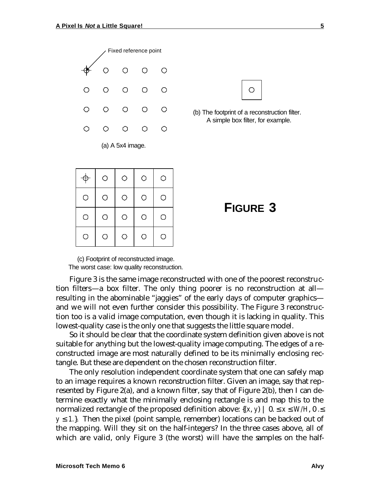



(b) The footprint of a reconstruction filter. A simple box filter, for example.

|            | $\bigcirc$ | $\circ$ | Ō | O |
|------------|------------|---------|---|---|
| $\bigcirc$ | O          | O       | O | О |
| O          | O          | O       | O | O |
| O          | O          | ◯       | O | ⊃ |



(c) Footprint of reconstructed image. The worst case: low quality reconstruction.

Figure 3 is the same image reconstructed with one of the poorest reconstruction filters—a box filter. The only thing poorer is no reconstruction at all resulting in the abominable "jaggies" of the early days of computer graphics and we will not even further consider this possibility. The Figure 3 reconstruction too is a valid image computation, even though it is lacking in quality. This lowest-quality case is the only one that suggests the little square model.

So it should be clear that the coordinate system definition given above is not suitable for anything but the lowest-quality image computing. The edges of a reconstructed image are most naturally defined to be its minimally enclosing rectangle. But these are dependent on the chosen reconstruction filter.

The only resolution independent coordinate system that one can safely map to an image requires a known reconstruction filter. Given an image, say that represented by Figure 2(a), and a known filter, say that of Figure 2(b), then I can determine exactly what the minimally enclosing rectangle is and map this to the normalized rectangle of the proposed definition above:  $\{(x, y) \mid 0. \le x \le W/H, 0. \le x \le W/H\}$  $y \leq 1$ . Then the pixel (point sample, remember) locations can be backed out of the mapping. Will they sit on the half-integers? In the three cases above, all of which are valid, only Figure 3 (the worst) will have the samples on the half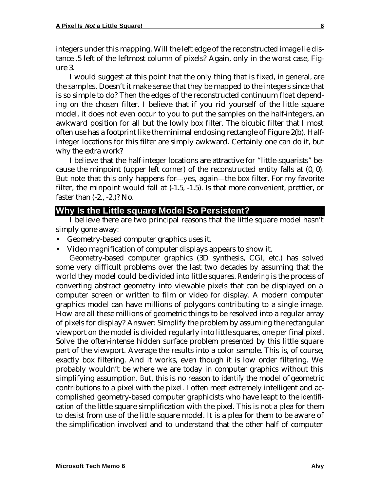integers under this mapping. Will the left edge of the reconstructed image lie distance .5 left of the leftmost column of pixels? Again, only in the worst case, Figure 3.

I would suggest at this point that the only thing that is fixed, in general, are the samples. Doesn't it make sense that they be mapped to the integers since that is so simple to do? Then the edges of the reconstructed continuum float depending on the chosen filter. I believe that if you rid yourself of the little square model, it does not even occur to you to put the samples on the half-integers, an awkward position for all but the lowly box filter. The bicubic filter that I most often use has a footprint like the minimal enclosing rectangle of Figure 2(b). Halfinteger locations for this filter are simply awkward. Certainly one can do it, but why the extra work?

I believe that the half-integer locations are attractive for "little-squarists" because the minpoint (upper left corner) of the reconstructed entity falls at (0, 0). But note that this only happens for—yes, again—the box filter. For my favorite filter, the minpoint would fall at  $(-1.5, -1.5)$ . Is that more convenient, prettier, or faster than (-2., -2.)? No.

### **Why Is the Little square Model So Persistent?**

I believe there are two principal reasons that the little square model hasn't simply gone away:

- Geometry-based computer graphics uses it.
- Video magnification of computer displays appears to show it.

Geometry-based computer graphics (3D synthesis, CGI, etc.) has solved some very difficult problems over the last two decades by assuming that the world they model could be divided into little squares. *Rendering* is the process of converting abstract geometry into viewable pixels that can be displayed on a computer screen or written to film or video for display. A modern computer graphics model can have millions of polygons contributing to a single image. How are all these millions of geometric things to be resolved into a regular array of pixels for display? Answer: Simplify the problem by assuming the rectangular viewport on the model is divided regularly into little squares, one per final pixel. Solve the often-intense hidden surface problem presented by this little square part of the viewport. Average the results into a color sample. This is, of course, exactly box filtering. And it works, even though it is low order filtering. We probably wouldn't be where we are today in computer graphics without this simplifying assumption. *But*, this is no reason to *identify* the model of geometric contributions to a pixel with the pixel. I often meet extremely intelligent and accomplished geometry-based computer graphicists who have leapt to the *identification* of the little square simplification with the pixel. This is not a plea for them to desist from use of the little square model. It is a plea for them to be aware of the simplification involved and to understand that the other half of computer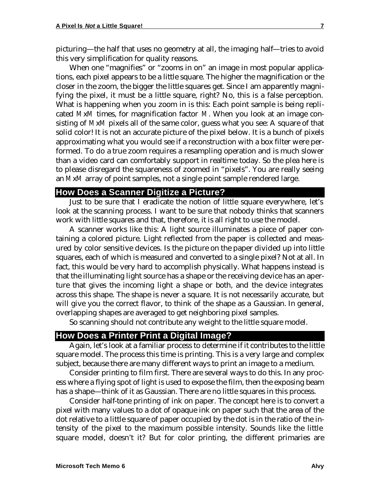picturing—the half that uses no geometry at all, the imaging half—tries to avoid this very simplification for quality reasons.

When one "magnifies" or "zooms in on" an image in most popular applications, each pixel appears to be a little square. The higher the magnification or the closer in the zoom, the bigger the little squares get. Since I am apparently magnifying the pixel, it must be a little square, right? No, this is a false perception. What is happening when you zoom in is this: Each point sample is being replicated *M*x*M* times, for magnification factor *M*. When you look at an image consisting of *M*x*M* pixels all of the same color, guess what you see: A square of that solid color! It is not an accurate picture of the pixel below. It is a bunch of pixels approximating what you would see if a reconstruction with a box filter were performed. To do a true zoom requires a resampling operation and is much slower than a video card can comfortably support in realtime today. So the plea here is to please disregard the squareness of zoomed in "pixels". You are really seeing an *M*x*M* array of point samples, not a single point sample rendered large.

# **How Does a Scanner Digitize a Picture?**

Just to be sure that I eradicate the notion of little square everywhere, let's look at the scanning process. I want to be sure that nobody thinks that scanners work with little squares and that, therefore, it is all right to use the model.

A scanner works like this: A light source illuminates a piece of paper containing a colored picture. Light reflected from the paper is collected and measured by color sensitive devices. Is the picture on the paper divided up into little squares, each of which is measured and converted to a single pixel? Not at all. In fact, this would be very hard to accomplish physically. What happens instead is that the illuminating light source has a shape or the receiving device has an aperture that gives the incoming light a shape or both, and the device integrates across this shape. The shape is never a square. It is not necessarily accurate, but will give you the correct flavor, to think of the shape as a Gaussian. In general, overlapping shapes are averaged to get neighboring pixel samples.

So scanning should not contribute any weight to the little square model.

## **How Does a Printer Print a Digital Image?**

Again, let's look at a familiar process to determine if it contributes to the little square model. The process this time is printing. This is a very large and complex subject, because there are many different ways to print an image to a medium.

Consider printing to film first. There are several ways to do this. In any process where a flying spot of light is used to expose the film, then the exposing beam has a shape—think of it as Gaussian. There are no little squares in this process.

Consider half-tone printing of ink on paper. The concept here is to convert a pixel with many values to a dot of opaque ink on paper such that the area of the dot relative to a little square of paper occupied by the dot is in the ratio of the intensity of the pixel to the maximum possible intensity. Sounds like the little square model, doesn't it? But for color printing, the different primaries are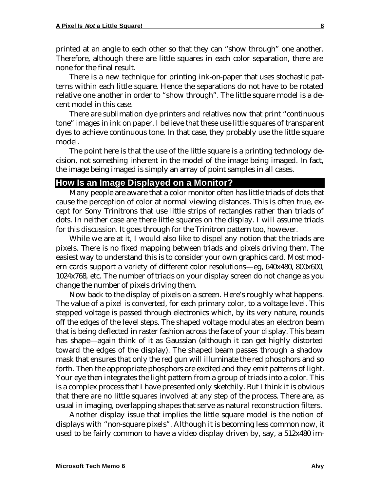printed at an angle to each other so that they can "show through" one another. Therefore, although there are little squares in each color separation, there are none for the final result.

There is a new technique for printing ink-on-paper that uses stochastic patterns within each little square. Hence the separations do not have to be rotated relative one another in order to "show through". The little square model is a decent model in this case.

There are sublimation dye printers and relatives now that print "continuous tone" images in ink on paper. I believe that these use little squares of transparent dyes to achieve continuous tone. In that case, they probably use the little square model.

The point here is that the use of the little square is a printing technology decision, not something inherent in the model of the image being imaged. In fact, the image being imaged is simply an array of point samples in all cases.

#### **How Is an Image Displayed on a Monitor?**

Many people are aware that a color monitor often has little triads of dots that cause the perception of color at normal viewing distances. This is often true, except for Sony Trinitrons that use little strips of rectangles rather than triads of dots. In neither case are there little squares on the display. I will assume triads for this discussion. It goes through for the Trinitron pattern too, however.

While we are at it, I would also like to dispel any notion that the triads are pixels. There is no fixed mapping between triads and pixels driving them. The easiest way to understand this is to consider your own graphics card. Most modern cards support a variety of different color resolutions—eg, 640x480, 800x600, 1024x768, etc. The number of triads on your display screen do not change as you change the number of pixels driving them.

Now back to the display of pixels on a screen. Here's roughly what happens. The value of a pixel is converted, for each primary color, to a voltage level. This stepped voltage is passed through electronics which, by its very nature, rounds off the edges of the level steps. The shaped voltage modulates an electron beam that is being deflected in raster fashion across the face of your display. This beam has shape—again think of it as Gaussian (although it can get highly distorted toward the edges of the display). The shaped beam passes through a shadow mask that ensures that only the red gun will illuminate the red phosphors and so forth. Then the appropriate phosphors are excited and they emit patterns of light. Your eye then integrates the light pattern from a group of triads into a color. This is a complex process that I have presented only sketchily. But I think it is obvious that there are no little squares involved at any step of the process. There are, as usual in imaging, overlapping shapes that serve as natural reconstruction filters.

Another display issue that implies the little square model is the notion of displays with "non-square pixels". Although it is becoming less common now, it used to be fairly common to have a video display driven by, say, a 512x480 im-

**8**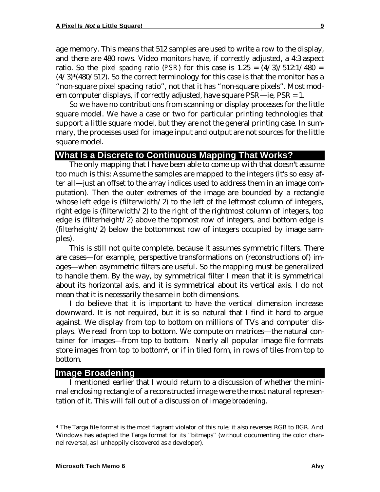age memory. This means that 512 samples are used to write a row to the display, and there are 480 rows. Video monitors have, if correctly adjusted, a 4:3 aspect ratio. So the *pixel spacing ratio* (*PSR*) for this case is  $1.25 = (4/3)/512:1/480 =$  $(4/3)$ <sup>\*</sup>(480/512). So the correct terminology for this case is that the monitor has a "non-square pixel spacing ratio", not that it has "non-square pixels". Most modern computer displays, if correctly adjusted, have square PSR—ie, PSR = 1.

So we have no contributions from scanning or display processes for the little square model. We have a case or two for particular printing technologies that support a little square model, but they are not the general printing case. In summary, the processes used for image input and output are not sources for the little square model.

# **What Is a Discrete to Continuous Mapping That Works?**

The only mapping that I have been able to come up with that doesn't assume too much is this: Assume the samples are mapped to the integers (it's so easy after all—just an offset to the array indices used to address them in an image computation). Then the outer extremes of the image are bounded by a rectangle whose left edge is (filterwidth/2) to the left of the leftmost column of integers, right edge is (filterwidth/2) to the right of the rightmost column of integers, top edge is (filterheight/2) above the topmost row of integers, and bottom edge is (filterheight/2) below the bottommost row of integers occupied by image samples).

This is still not quite complete, because it assumes symmetric filters. There are cases—for example, perspective transformations on (reconstructions of) images—when asymmetric filters are useful. So the mapping must be generalized to handle them. By the way, by symmetrical filter I mean that it is symmetrical about its horizontal axis, and it is symmetrical about its vertical axis. I do not mean that it is necessarily the same in both dimensions.

I do believe that it is important to have the vertical dimension increase downward. It is not required, but it is so natural that I find it hard to argue against. We display from top to bottom on millions of TVs and computer displays. We read from top to bottom. We compute on matrices—the natural container for images—from top to bottom. Nearly all popular image file formats store images from top to bottom<sup>4</sup>, or if in tiled form, in rows of tiles from top to bottom.

#### **Image Broadening**

I mentioned earlier that I would return to a discussion of whether the minimal enclosing rectangle of a reconstructed image were the most natural representation of it. This will fall out of a discussion of image *broadening*.

<sup>4</sup> The Targa file format is the most flagrant violator of this rule; it also reverses RGB to BGR. And Windows has adapted the Targa format for its "bitmaps" (without documenting the color channel reversal, as I unhappily discovered as a developer).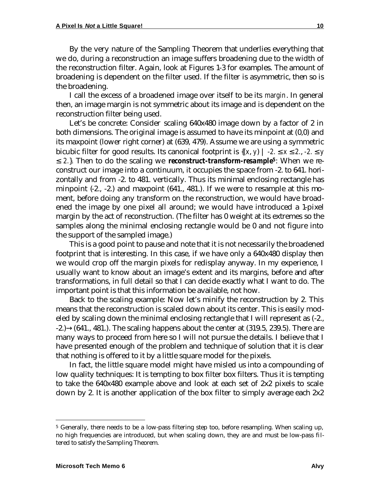By the very nature of the Sampling Theorem that underlies everything that we do, during a reconstruction an image suffers broadening due to the width of the reconstruction filter. Again, look at Figures 1-3 for examples. The amount of broadening is dependent on the filter used. If the filter is asymmetric, then so is the broadening.

I call the excess of a broadened image over itself to be its *margin*. In general then, an image margin is not symmetric about its image and is dependent on the reconstruction filter being used.

Let's be concrete: Consider scaling 640x480 image down by a factor of 2 in both dimensions. The original image is assumed to have its minpoint at (0,0) and its maxpoint (lower right corner) at (639, 479). Assume we are using a symmetric bicubic filter for good results. Its canonical footprint is  $\{(x, y) \mid -2 \le x \le 2, -2 \le y\}$ ≤ *2.*}. Then to do the scaling we *reconstruct-transform-resample<sup>5</sup>*: When we reconstruct our image into a continuum, it occupies the space from -2. to 641. horizontally and from -2. to 481. vertically. Thus its minimal enclosing rectangle has minpoint  $(-2, -2)$  and maxpoint  $(641, 481)$ . If we were to resample at this moment, before doing any transform on the reconstruction, we would have broadened the image by one pixel all around; we would have introduced a 1-pixel margin by the act of reconstruction. (The filter has 0 weight at its extremes so the samples along the minimal enclosing rectangle would be 0 and not figure into the support of the sampled image.)

This is a good point to pause and note that it is not necessarily the broadened footprint that is interesting. In this case, if we have only a 640x480 display then we would crop off the margin pixels for redisplay anyway. In my experience, I usually want to know about an image's extent and its margins, before and after transformations, in full detail so that I can decide exactly what I want to do. The important point is that this information be available, not how.

Back to the scaling example: Now let's minify the reconstruction by 2. This means that the reconstruction is scaled down about its center. This is easily modeled by scaling down the minimal enclosing rectangle that I will represent as (-2.,  $-2.$ ) $\rightarrow$ (641., 481.). The scaling happens about the center at (319.5, 239.5). There are many ways to proceed from here so I will not pursue the details. I believe that I have presented enough of the problem and technique of solution that it is clear that nothing is offered to it by a little square model for the pixels.

In fact, the little square model might have misled us into a compounding of low quality techniques: It is tempting to box filter box filters. Thus it is tempting to take the 640x480 example above and look at each set of 2x2 pixels to scale down by 2. It is another application of the box filter to simply average each 2x2

<sup>5</sup> Generally, there needs to be a low-pass filtering step too, before resampling. When scaling up, no high frequencies are introduced, but when scaling down, they are and must be low-pass filtered to satisfy the Sampling Theorem.